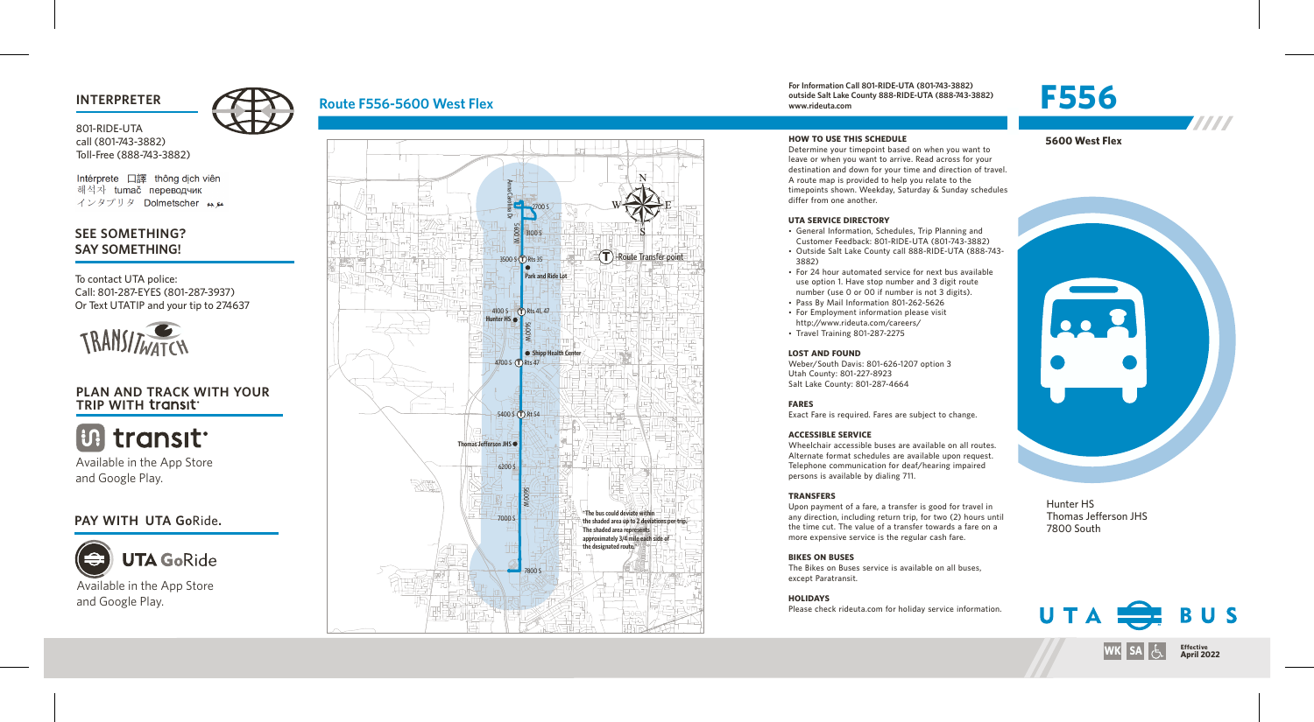801-RIDE-UTA call (801-743-3882) Toll-Free (888-743-3882)

Intérprete 口譯 thông dịch viên 해석자 tumač переводчик インタプリタ Dolmetscher メル

## **SEE SOMETHING? SAY SOMETHING!**

To contact UTA police: Call: 801-287-EYES (801-287-3937) Or Text UTATIP and your tip to 274637



### **PLAN AND TRACK WITH YOUR TRIP WITH**

**Biltransit** 

Available in the App Store and Google Play.

### **PAY WITH UTA Go**Ride**.**



# **Route F556-5600 West Flex**



#### **For Information Call 801-RIDE-UTA (801-743-3882) outside Salt Lake County 888-RIDE-UTA (888-743-3882) www.rideuta.com INTERPRETER For Information Call 801-RIDE-UTA (801-743-3882)**<br> **INTERPRETER F556-5600** West Flex www.rideuta.com www.rideuta.com www.rideuta.com **F556**



**5600 West Flex**

7777

Determine your timepoint based on when you want to leave or when you want to arrive. Read across for your destination and down for your time and direction of travel. A route map is provided to help you relate to the timepoints shown. Weekday, Saturday & Sunday schedules differ from one another.

### **UTA SERVICE DIRECTORY**

**HOW TO USE THIS SCHEDULE**

• General Information, Schedules, Trip Planning and Customer Feedback: 801-RIDE-UTA (801-743-3882)

- Outside Salt Lake County call 888-RIDE-UTA (888-743-3882)
- For 24 hour automated service for next bus available use option 1. Have stop number and 3 digit route number (use 0 or 00 if number is not 3 digits).
- Pass By Mail Information 801-262-5626
- For Employment information please visit http://www.rideuta.com/careers/
- Travel Training 801-287-2275

#### **LOST AND FOUND**

Weber/South Davis: 801-626-1207 option 3 Utah County: 801-227-8923 Salt Lake County: 801-287-4664

#### **FARES**

Exact Fare is required. Fares are subject to change.

#### **ACCESSIBLE SERVICE**

Wheelchair accessible buses are available on all routes. Alternate format schedules are available upon request. Telephone communication for deaf/hearing impaired persons is available by dialing 711.

#### **TRANSFERS**

Upon payment of a fare, a transfer is good for travel in any direction, including return trip, for two (2) hours until the time cut. The value of a transfer towards a fare on a more expensive service is the regular cash fare.

#### **BIKES ON BUSES**

The Bikes on Buses service is available on all buses, except Paratransit.

**HOLIDAYS** Please check rideuta.com for holiday service information.